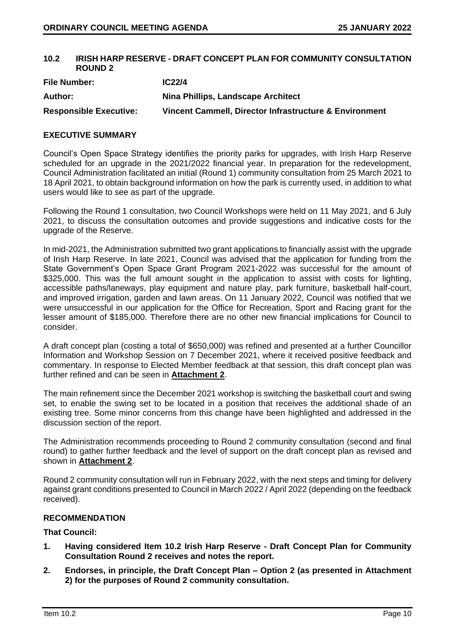## **10.2 IRISH HARP RESERVE - DRAFT CONCEPT PLAN FOR COMMUNITY CONSULTATION ROUND 2**

| <b>File Number:</b>           | IC <sub>22/4</sub>                                     |
|-------------------------------|--------------------------------------------------------|
| Author:                       | Nina Phillips, Landscape Architect                     |
| <b>Responsible Executive:</b> | Vincent Cammell, Director Infrastructure & Environment |

## **EXECUTIVE SUMMARY**

Council's Open Space Strategy identifies the priority parks for upgrades, with Irish Harp Reserve scheduled for an upgrade in the 2021/2022 financial year. In preparation for the redevelopment, Council Administration facilitated an initial (Round 1) community consultation from 25 March 2021 to 18 April 2021, to obtain background information on how the park is currently used, in addition to what users would like to see as part of the upgrade.

Following the Round 1 consultation, two Council Workshops were held on 11 May 2021, and 6 July 2021, to discuss the consultation outcomes and provide suggestions and indicative costs for the upgrade of the Reserve.

In mid-2021, the Administration submitted two grant applications to financially assist with the upgrade of Irish Harp Reserve. In late 2021, Council was advised that the application for funding from the State Government's Open Space Grant Program 2021-2022 was successful for the amount of \$325,000. This was the full amount sought in the application to assist with costs for lighting, accessible paths/laneways, play equipment and nature play, park furniture, basketball half-court, and improved irrigation, garden and lawn areas. On 11 January 2022, Council was notified that we were unsuccessful in our application for the Office for Recreation, Sport and Racing grant for the lesser amount of \$185,000. Therefore there are no other new financial implications for Council to consider.

A draft concept plan (costing a total of \$650,000) was refined and presented at a further Councillor Information and Workshop Session on 7 December 2021, where it received positive feedback and commentary. In response to Elected Member feedback at that session, this draft concept plan was further refined and can be seen in **Attachment 2**.

The main refinement since the December 2021 workshop is switching the basketball court and swing set, to enable the swing set to be located in a position that receives the additional shade of an existing tree. Some minor concerns from this change have been highlighted and addressed in the discussion section of the report.

The Administration recommends proceeding to Round 2 community consultation (second and final round) to gather further feedback and the level of support on the draft concept plan as revised and shown in **Attachment 2**.

Round 2 community consultation will run in February 2022, with the next steps and timing for delivery against grant conditions presented to Council in March 2022 / April 2022 (depending on the feedback received).

## **RECOMMENDATION**

## **That Council:**

- **1. Having considered Item 10.2 Irish Harp Reserve - Draft Concept Plan for Community Consultation Round 2 receives and notes the report.**
- **2. Endorses, in principle, the Draft Concept Plan – Option 2 (as presented in Attachment 2) for the purposes of Round 2 community consultation.**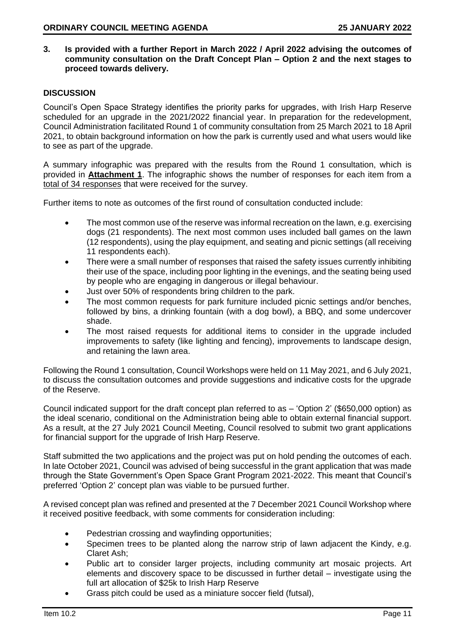**3. Is provided with a further Report in March 2022 / April 2022 advising the outcomes of community consultation on the Draft Concept Plan – Option 2 and the next stages to proceed towards delivery.** 

## **DISCUSSION**

Council's Open Space Strategy identifies the priority parks for upgrades, with Irish Harp Reserve scheduled for an upgrade in the 2021/2022 financial year. In preparation for the redevelopment, Council Administration facilitated Round 1 of community consultation from 25 March 2021 to 18 April 2021, to obtain background information on how the park is currently used and what users would like to see as part of the upgrade.

A summary infographic was prepared with the results from the Round 1 consultation, which is provided in **Attachment 1**. The infographic shows the number of responses for each item from a total of 34 responses that were received for the survey.

Further items to note as outcomes of the first round of consultation conducted include:

- The most common use of the reserve was informal recreation on the lawn, e.g. exercising dogs (21 respondents). The next most common uses included ball games on the lawn (12 respondents), using the play equipment, and seating and picnic settings (all receiving 11 respondents each).
- There were a small number of responses that raised the safety issues currently inhibiting their use of the space, including poor lighting in the evenings, and the seating being used by people who are engaging in dangerous or illegal behaviour.
- Just over 50% of respondents bring children to the park.
- The most common requests for park furniture included picnic settings and/or benches, followed by bins, a drinking fountain (with a dog bowl), a BBQ, and some undercover shade.
- The most raised requests for additional items to consider in the upgrade included improvements to safety (like lighting and fencing), improvements to landscape design, and retaining the lawn area.

Following the Round 1 consultation, Council Workshops were held on 11 May 2021, and 6 July 2021, to discuss the consultation outcomes and provide suggestions and indicative costs for the upgrade of the Reserve.

Council indicated support for the draft concept plan referred to as – 'Option 2' (\$650,000 option) as the ideal scenario, conditional on the Administration being able to obtain external financial support. As a result, at the 27 July 2021 Council Meeting, Council resolved to submit two grant applications for financial support for the upgrade of Irish Harp Reserve.

Staff submitted the two applications and the project was put on hold pending the outcomes of each. In late October 2021, Council was advised of being successful in the grant application that was made through the State Government's Open Space Grant Program 2021-2022. This meant that Council's preferred 'Option 2' concept plan was viable to be pursued further.

A revised concept plan was refined and presented at the 7 December 2021 Council Workshop where it received positive feedback, with some comments for consideration including:

- Pedestrian crossing and wayfinding opportunities;
- Specimen trees to be planted along the narrow strip of lawn adjacent the Kindy, e.g. Claret Ash;
- Public art to consider larger projects, including community art mosaic projects. Art elements and discovery space to be discussed in further detail – investigate using the full art allocation of \$25k to Irish Harp Reserve
- Grass pitch could be used as a miniature soccer field (futsal),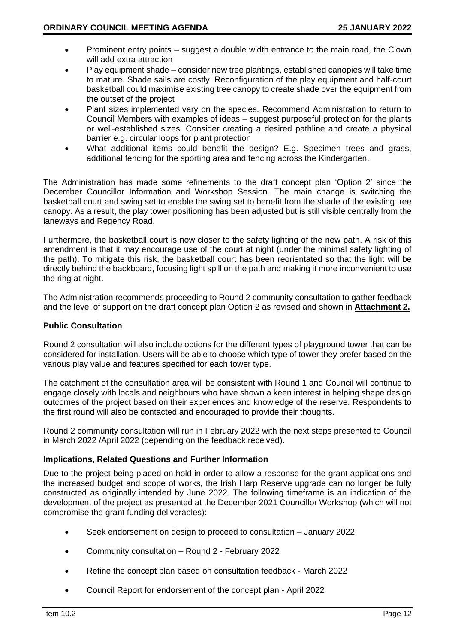- Prominent entry points suggest a double width entrance to the main road, the Clown will add extra attraction
- Play equipment shade consider new tree plantings, established canopies will take time to mature. Shade sails are costly. Reconfiguration of the play equipment and half-court basketball could maximise existing tree canopy to create shade over the equipment from the outset of the project
- Plant sizes implemented vary on the species. Recommend Administration to return to Council Members with examples of ideas – suggest purposeful protection for the plants or well-established sizes. Consider creating a desired pathline and create a physical barrier e.g. circular loops for plant protection
- What additional items could benefit the design? E.g. Specimen trees and grass, additional fencing for the sporting area and fencing across the Kindergarten.

The Administration has made some refinements to the draft concept plan 'Option 2' since the December Councillor Information and Workshop Session. The main change is switching the basketball court and swing set to enable the swing set to benefit from the shade of the existing tree canopy. As a result, the play tower positioning has been adjusted but is still visible centrally from the laneways and Regency Road.

Furthermore, the basketball court is now closer to the safety lighting of the new path. A risk of this amendment is that it may encourage use of the court at night (under the minimal safety lighting of the path). To mitigate this risk, the basketball court has been reorientated so that the light will be directly behind the backboard, focusing light spill on the path and making it more inconvenient to use the ring at night.

The Administration recommends proceeding to Round 2 community consultation to gather feedback and the level of support on the draft concept plan Option 2 as revised and shown in **Attachment 2.**

## **Public Consultation**

Round 2 consultation will also include options for the different types of playground tower that can be considered for installation. Users will be able to choose which type of tower they prefer based on the various play value and features specified for each tower type.

The catchment of the consultation area will be consistent with Round 1 and Council will continue to engage closely with locals and neighbours who have shown a keen interest in helping shape design outcomes of the project based on their experiences and knowledge of the reserve. Respondents to the first round will also be contacted and encouraged to provide their thoughts.

Round 2 community consultation will run in February 2022 with the next steps presented to Council in March 2022 /April 2022 (depending on the feedback received).

#### **Implications, Related Questions and Further Information**

Due to the project being placed on hold in order to allow a response for the grant applications and the increased budget and scope of works, the Irish Harp Reserve upgrade can no longer be fully constructed as originally intended by June 2022. The following timeframe is an indication of the development of the project as presented at the December 2021 Councillor Workshop (which will not compromise the grant funding deliverables):

- Seek endorsement on design to proceed to consultation January 2022
- Community consultation Round 2 February 2022
- Refine the concept plan based on consultation feedback March 2022
- Council Report for endorsement of the concept plan April 2022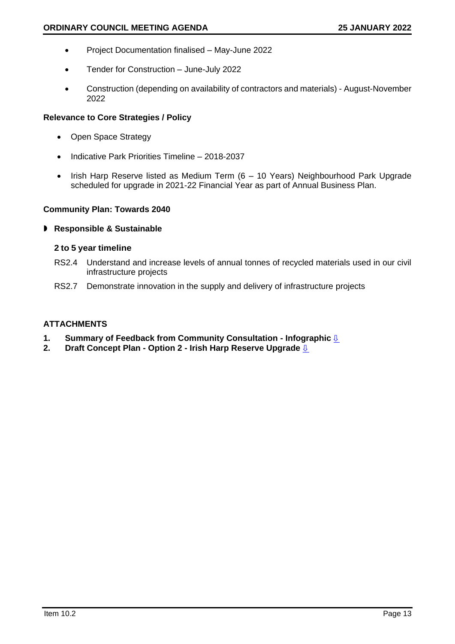- Project Documentation finalised May-June 2022
- Tender for Construction June-July 2022
- Construction (depending on availability of contractors and materials) August-November 2022

## **Relevance to Core Strategies / Policy**

- Open Space Strategy
- Indicative Park Priorities Timeline 2018-2037
- Irish Harp Reserve listed as Medium Term (6 10 Years) Neighbourhood Park Upgrade scheduled for upgrade in 2021-22 Financial Year as part of Annual Business Plan.

## **Community Plan: Towards 2040**

## **Responsible & Sustainable**

## **2 to 5 year timeline**

- RS2.4 Understand and increase levels of annual tonnes of recycled materials used in our civil infrastructure projects
- RS2.7 Demonstrate innovation in the supply and delivery of infrastructure projects

# **ATTACHMENTS**

- **1.** Summary of Feedback from Community Consultation Infographic <u>है</u><br>2. Draft Concept Plan Option 2 Irish Harp Reserve Upgrade है
- **2. Draft Concept Plan - Option 2 - Irish Harp Reserve Upgrade** [⇩](#page-5-0)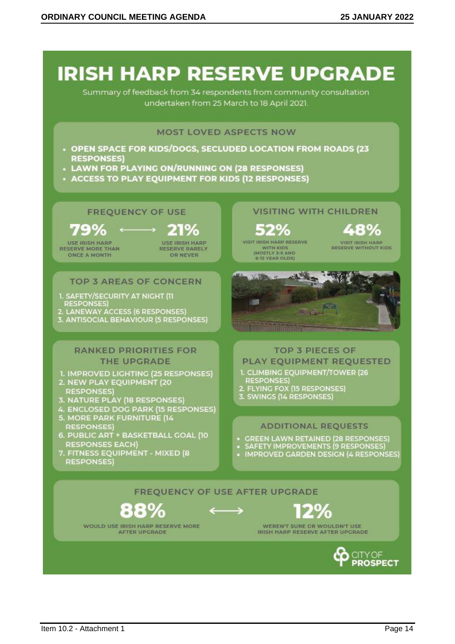<span id="page-4-0"></span>